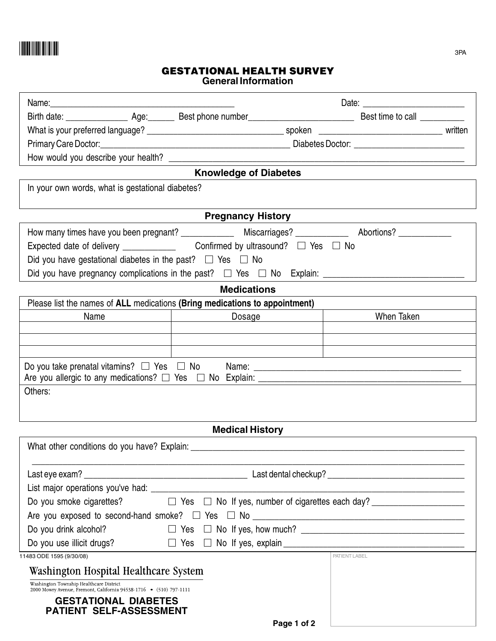

## **GESTATIONAL HEALTH SURVEY General Information**

| Name: 2008 - 2008 - 2008 - 2008 - 2008 - 2008 - 2008 - 2008 - 2008 - 2008 - 2008 - 2008 - 2008 - 2008 - 2008 -              |                                                                                                                |               |  |  |
|-----------------------------------------------------------------------------------------------------------------------------|----------------------------------------------------------------------------------------------------------------|---------------|--|--|
|                                                                                                                             |                                                                                                                |               |  |  |
|                                                                                                                             |                                                                                                                |               |  |  |
|                                                                                                                             |                                                                                                                |               |  |  |
|                                                                                                                             |                                                                                                                |               |  |  |
| <b>Knowledge of Diabetes</b>                                                                                                |                                                                                                                |               |  |  |
| In your own words, what is gestational diabetes?                                                                            |                                                                                                                |               |  |  |
|                                                                                                                             |                                                                                                                |               |  |  |
| <b>Pregnancy History</b>                                                                                                    |                                                                                                                |               |  |  |
|                                                                                                                             | How many times have you been pregnant? ______________________Miscarriages? ___________________________________ |               |  |  |
|                                                                                                                             |                                                                                                                |               |  |  |
| Did you have gestational diabetes in the past? $\square$ Yes $\square$ No                                                   |                                                                                                                |               |  |  |
|                                                                                                                             |                                                                                                                |               |  |  |
| <b>Medications</b>                                                                                                          |                                                                                                                |               |  |  |
| Please list the names of ALL medications (Bring medications to appointment)                                                 |                                                                                                                |               |  |  |
| Name<br><u> 1989 - Johann John Stone, markin sanadi shirta a shekara ta 1989 - An tsa na shekara tsa 1989 - An tsa 1989</u> | Dosage                                                                                                         | When Taken    |  |  |
|                                                                                                                             |                                                                                                                |               |  |  |
|                                                                                                                             |                                                                                                                |               |  |  |
|                                                                                                                             |                                                                                                                |               |  |  |
|                                                                                                                             |                                                                                                                |               |  |  |
| Others:                                                                                                                     |                                                                                                                |               |  |  |
|                                                                                                                             |                                                                                                                |               |  |  |
| <b>Medical History</b>                                                                                                      |                                                                                                                |               |  |  |
|                                                                                                                             |                                                                                                                |               |  |  |
|                                                                                                                             |                                                                                                                |               |  |  |
|                                                                                                                             |                                                                                                                |               |  |  |
|                                                                                                                             |                                                                                                                |               |  |  |
|                                                                                                                             |                                                                                                                |               |  |  |
| Are you exposed to second-hand smoke? $\Box$ Yes $\Box$ No $\_\_\_\_\_\_\_\_\_\_\_\_\_$                                     |                                                                                                                |               |  |  |
| Do you drink alcohol?                                                                                                       |                                                                                                                |               |  |  |
| Do you use illicit drugs?                                                                                                   |                                                                                                                |               |  |  |
| 11483 ODE 1595 (9/30/08)                                                                                                    |                                                                                                                | PATIENT LABEL |  |  |
| <b>Washington Hospital Healthcare System</b>                                                                                |                                                                                                                |               |  |  |
| Washington Township Healthcare District<br>2000 Mowry Avenue, Fremont, California 94538-1716 • (510) 797-1111               |                                                                                                                |               |  |  |
| <b>GESTATIONAL DIABETES</b>                                                                                                 |                                                                                                                |               |  |  |
| <b>PATIENT SELF-ASSESSMENT</b>                                                                                              |                                                                                                                |               |  |  |
|                                                                                                                             | Page 1 of 2                                                                                                    |               |  |  |

**Page 1 of 2**